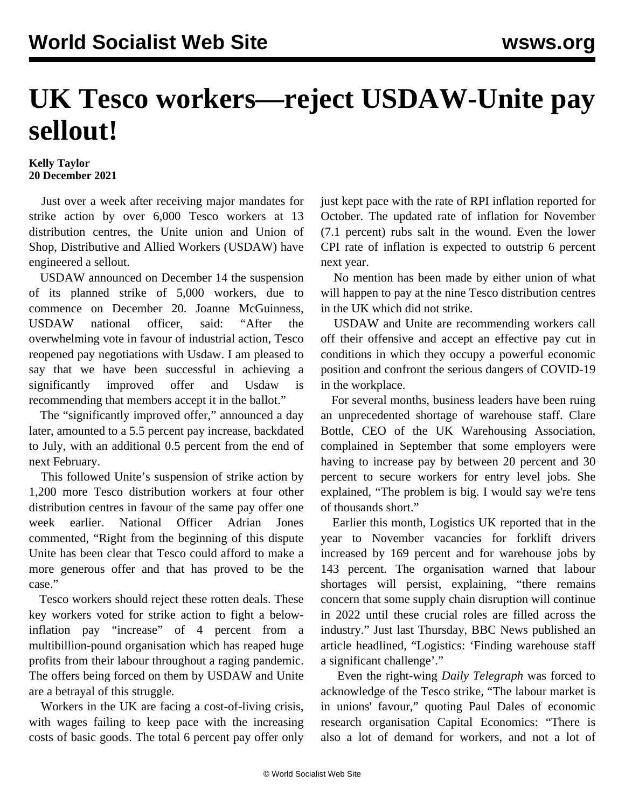## **UK Tesco workers—reject USDAW-Unite pay sellout!**

## **Kelly Taylor 20 December 2021**

 Just over a week after receiving major mandates for strike action by over 6,000 Tesco workers at 13 distribution centres, the Unite union and Union of Shop, Distributive and Allied Workers (USDAW) have engineered a sellout.

 USDAW announced on December 14 the suspension of its planned strike of 5,000 workers, due to commence on December 20. Joanne McGuinness, USDAW national officer, said: "After the overwhelming vote in favour of industrial action, Tesco reopened pay negotiations with Usdaw. I am pleased to say that we have been successful in achieving a significantly improved offer and Usdaw is recommending that members accept it in the ballot."

The "significantly improved offer," announced a day later, amounted to a 5.5 percent pay increase, backdated to July, with an additional 0.5 percent from the end of next February.

 This followed Unite's suspension of strike action by 1,200 more Tesco distribution workers at four other distribution centres in favour of the same pay offer one week earlier. National Officer Adrian Jones commented, "Right from the beginning of this dispute Unite has been clear that Tesco could afford to make a more generous offer and that has proved to be the case."

 Tesco workers should reject these rotten deals. These key workers voted for strike action to fight a belowinflation pay "increase" of 4 percent from a multibillion-pound organisation which has reaped huge profits from their labour throughout a raging pandemic. The offers being forced on them by USDAW and Unite are a betrayal of this struggle.

 Workers in the UK are facing a cost-of-living crisis, with wages failing to keep pace with the increasing costs of basic goods. The total 6 percent pay offer only just kept pace with the rate of RPI inflation reported for October. The updated rate of inflation for November (7.1 percent) rubs salt in the wound. Even the lower CPI rate of inflation is expected to outstrip 6 percent next year.

 No mention has been made by either union of what will happen to pay at the nine Tesco distribution centres in the UK which did not strike.

 USDAW and Unite are recommending workers call off their offensive and accept an effective pay cut in conditions in which they occupy a powerful economic position and confront the serious dangers of COVID-19 in the workplace.

 For several months, business leaders have been ruing an unprecedented shortage of warehouse staff. Clare Bottle, CEO of the UK Warehousing Association, complained in September that some employers were having to increase pay by between 20 percent and 30 percent to secure workers for entry level jobs. She explained, "The problem is big. I would say we're tens of thousands short."

 Earlier this month, Logistics UK reported that in the year to November vacancies for forklift drivers increased by 169 percent and for warehouse jobs by 143 percent. The organisation warned that labour shortages will persist, explaining, "there remains concern that some supply chain disruption will continue in 2022 until these crucial roles are filled across the industry." Just last Thursday, BBC News published an article headlined, "Logistics: 'Finding warehouse staff a significant challenge'."

 Even the right-wing *Daily Telegraph* was forced to acknowledge of the Tesco strike, "The labour market is in unions' favour," quoting Paul Dales of economic research organisation Capital Economics: "There is also a lot of demand for workers, and not a lot of